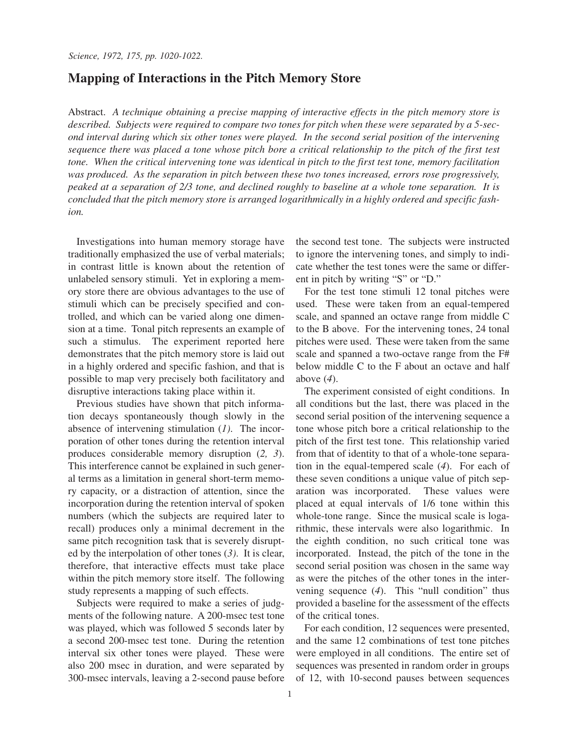## **Mapping of Interactions in the Pitch Memory Store**

Abstract. *A technique obtaining a precise mapping of interactive effects in the pitch memory store is described. Subjects were required to compare two tones for pitch when these were separated by a 5-second interval during which six other tones were played. In the second serial position of the intervening sequence there was placed a tone whose pitch bore a critical relationship to the pitch of the first test tone. When the critical intervening tone was identical in pitch to the first test tone, memory facilitation was produced. As the separation in pitch between these two tones increased, errors rose progressively, peaked at a separation of 2/3 tone, and declined roughly to baseline at a whole tone separation. It is concluded that the pitch memory store is arranged logarithmically in a highly ordered and specific fashion.*

Investigations into human memory storage have traditionally emphasized the use of verbal materials; in contrast little is known about the retention of unlabeled sensory stimuli. Yet in exploring a memory store there are obvious advantages to the use of stimuli which can be precisely specified and controlled, and which can be varied along one dimension at a time. Tonal pitch represents an example of such a stimulus. The experiment reported here demonstrates that the pitch memory store is laid out in a highly ordered and specific fashion, and that is possible to map very precisely both facilitatory and disruptive interactions taking place within it.

Previous studies have shown that pitch information decays spontaneously though slowly in the absence of intervening stimulation (*1)*. The incorporation of other tones during the retention interval produces considerable memory disruption (*2, 3*). This interference cannot be explained in such general terms as a limitation in general short-term memory capacity, or a distraction of attention, since the incorporation during the retention interval of spoken numbers (which the subjects are required later to recall) produces only a minimal decrement in the same pitch recognition task that is severely disrupted by the interpolation of other tones (*3)*. It is clear, therefore, that interactive effects must take place within the pitch memory store itself. The following study represents a mapping of such effects.

Subjects were required to make a series of judgments of the following nature. A 200-msec test tone was played, which was followed 5 seconds later by a second 200-msec test tone. During the retention interval six other tones were played. These were also 200 msec in duration, and were separated by 300-msec intervals, leaving a 2-second pause before the second test tone. The subjects were instructed to ignore the intervening tones, and simply to indicate whether the test tones were the same or different in pitch by writing "S" or "D."

For the test tone stimuli 12 tonal pitches were used. These were taken from an equal-tempered scale, and spanned an octave range from middle C to the B above. For the intervening tones, 24 tonal pitches were used. These were taken from the same scale and spanned a two-octave range from the F# below middle C to the F about an octave and half above (*4*).

The experiment consisted of eight conditions. In all conditions but the last, there was placed in the second serial position of the intervening sequence a tone whose pitch bore a critical relationship to the pitch of the first test tone. This relationship varied from that of identity to that of a whole-tone separation in the equal-tempered scale (*4*). For each of these seven conditions a unique value of pitch separation was incorporated. These values were placed at equal intervals of 1/6 tone within this whole-tone range. Since the musical scale is logarithmic, these intervals were also logarithmic. In the eighth condition, no such critical tone was incorporated. Instead, the pitch of the tone in the second serial position was chosen in the same way as were the pitches of the other tones in the intervening sequence (*4*). This "null condition" thus provided a baseline for the assessment of the effects of the critical tones.

For each condition, 12 sequences were presented, and the same 12 combinations of test tone pitches were employed in all conditions. The entire set of sequences was presented in random order in groups of 12, with 10-second pauses between sequences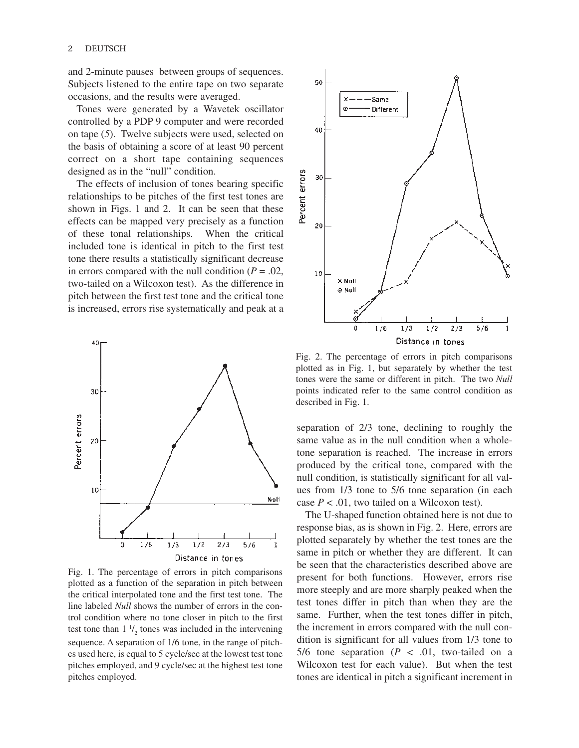and 2-minute pauses between groups of sequences. Subjects listened to the entire tape on two separate occasions, and the results were averaged.

Tones were generated by a Wavetek oscillator controlled by a PDP 9 computer and were recorded on tape (*5*). Twelve subjects were used, selected on the basis of obtaining a score of at least 90 percent correct on a short tape containing sequences designed as in the "null" condition.

The effects of inclusion of tones bearing specific relationships to be pitches of the first test tones are shown in Figs. 1 and 2. It can be seen that these effects can be mapped very precisely as a function of these tonal relationships. When the critical included tone is identical in pitch to the first test tone there results a statistically significant decrease in errors compared with the null condition  $(P = .02)$ , two-tailed on a Wilcoxon test). As the difference in pitch between the first test tone and the critical tone is increased, errors rise systematically and peak at a



Fig. 1. The percentage of errors in pitch comparisons plotted as a function of the separation in pitch between the critical interpolated tone and the first test tone. The line labeled *Null* shows the number of errors in the control condition where no tone closer in pitch to the first test tone than  $1 \frac{1}{2}$  tones was included in the intervening sequence. A separation of 1/6 tone, in the range of pitches used here, is equal to 5 cycle/sec at the lowest test tone pitches employed, and 9 cycle/sec at the highest test tone pitches employed.



Fig. 2. The percentage of errors in pitch comparisons plotted as in Fig. 1, but separately by whether the test tones were the same or different in pitch. The two *Null* points indicated refer to the same control condition as described in Fig. 1.

separation of 2/3 tone, declining to roughly the same value as in the null condition when a wholetone separation is reached. The increase in errors produced by the critical tone, compared with the null condition, is statistically significant for all values from 1/3 tone to 5/6 tone separation (in each case  $P < .01$ , two tailed on a Wilcoxon test).

The U-shaped function obtained here is not due to response bias, as is shown in Fig. 2. Here, errors are plotted separately by whether the test tones are the same in pitch or whether they are different. It can be seen that the characteristics described above are present for both functions. However, errors rise more steeply and are more sharply peaked when the test tones differ in pitch than when they are the same. Further, when the test tones differ in pitch, the increment in errors compared with the null condition is significant for all values from 1/3 tone to 5/6 tone separation  $(P \lt .01,$  two-tailed on a Wilcoxon test for each value). But when the test tones are identical in pitch a significant increment in